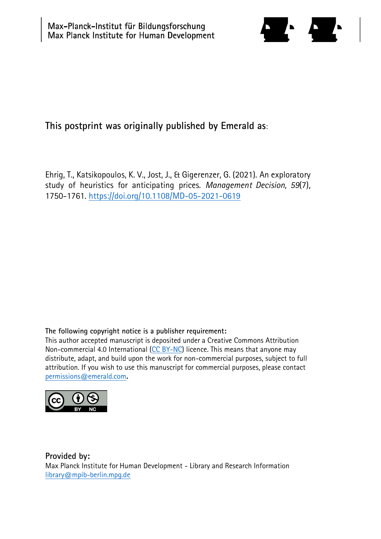

# **This postprint was originally published by Emerald as**:

Ehrig, T., Katsikopoulos, K. V., Jost, J., & Gigerenzer, G. (2021). An exploratory study of heuristics for anticipating prices. *Management Decision, 59*(7), 1750-1761.<https://doi.org/10.1108/MD-05-2021-0619>

# **The following copyright notice is a publisher requirement:**

This author accepted manuscript is deposited under a Creative Commons Attribution Non-commercial 4.0 International [\(CC BY-NC\)](https://creativecommons.org/licenses/by-nc/4.0/) licence. This means that anyone may distribute, adapt, and build upon the work for non-commercial purposes, subject to full attribution. If you wish to use this manuscript for commercial purposes, please contact [permissions@emerald.com](mailto:permissions@emerald.com)**.**



**Provided by:** Max Planck Institute for Human Development - Library and Research Information [library@mpib-berlin.mpg.de](mailto:library@mpib-berlin.mpg.de)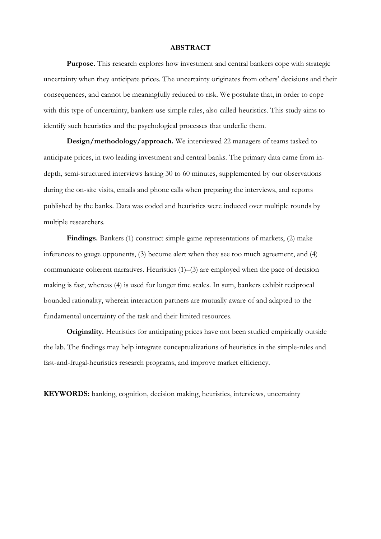## **ABSTRACT**

Purpose. This research explores how investment and central bankers cope with strategic uncertainty when they anticipate prices. The uncertainty originates from others' decisions and their consequences, and cannot be meaningfully reduced to risk. We postulate that, in order to cope with this type of uncertainty, bankers use simple rules, also called heuristics. This study aims to identify such heuristics and the psychological processes that underlie them.

**Design/methodology/approach.** We interviewed 22 managers of teams tasked to anticipate prices, in two leading investment and central banks. The primary data came from indepth, semi-structured interviews lasting 30 to 60 minutes, supplemented by our observations during the on-site visits, emails and phone calls when preparing the interviews, and reports published by the banks. Data was coded and heuristics were induced over multiple rounds by multiple researchers.

**Findings.** Bankers (1) construct simple game representations of markets, (2) make inferences to gauge opponents, (3) become alert when they see too much agreement, and (4) communicate coherent narratives. Heuristics (1)–(3) are employed when the pace of decision making is fast, whereas (4) is used for longer time scales. In sum, bankers exhibit reciprocal bounded rationality, wherein interaction partners are mutually aware of and adapted to the fundamental uncertainty of the task and their limited resources.

**Originality.** Heuristics for anticipating prices have not been studied empirically outside the lab. The findings may help integrate conceptualizations of heuristics in the simple-rules and fast-and-frugal-heuristics research programs, and improve market efficiency.

**KEYWORDS:** banking, cognition, decision making, heuristics, interviews, uncertainty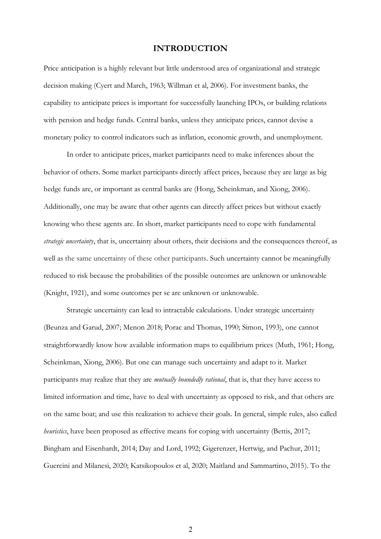# **INTRODUCTION**

Price anticipation is a highly relevant but little understood area of organizational and strategic decision making (Cyert and March, 1963; Willman et al, 2006). For investment banks, the capability to anticipate prices is important for successfully launching IPOs, or building relations with pension and hedge funds. Central banks, unless they anticipate prices, cannot devise a monetary policy to control indicators such as inflation, economic growth, and unemployment.

In order to anticipate prices, market participants need to make inferences about the behavior of others. Some market participants directly affect prices, because they are large as big hedge funds are, or important as central banks are (Hong, Scheinkman, and Xiong, 2006). Additionally, one may be aware that other agents can directly affect prices but without exactly knowing who these agents are. In short, market participants need to cope with fundamental *strategic uncertainty*, that is, uncertainty about others, their decisions and the consequences thereof, as well as the same uncertainty of these other participants. Such uncertainty cannot be meaningfully reduced to risk because the probabilities of the possible outcomes are unknown or unknowable (Knight, 1921), and some outcomes per se are unknown or unknowable.

Strategic uncertainty can lead to intractable calculations. Under strategic uncertainty (Beunza and Garud, 2007; Menon 2018; Porac and Thomas, 1990; Simon, 1993), one cannot straightforwardly know how available information maps to equilibrium prices (Muth, 1961; Hong, Scheinkman, Xiong, 2006). But one can manage such uncertainty and adapt to it. Market participants may realize that they are *mutually boundedly rational*, that is, that they have access to limited information and time, have to deal with uncertainty as opposed to risk, and that others are on the same boat; and use this realization to achieve their goals. In general, simple rules, also called *heuristics*, have been proposed as effective means for coping with uncertainty (Bettis, 2017; Bingham and Eisenhardt, 2014; Day and Lord, 1992; Gigerenzer, Hertwig, and Pachur, 2011; Guercini and Milanesi, 2020; Katsikopoulos et al, 2020; Maitland and Sammartino, 2015). To the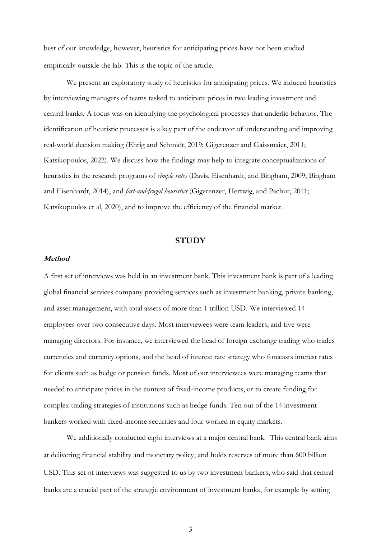best of our knowledge, however, heuristics for anticipating prices have not been studied empirically outside the lab. This is the topic of the article.

We present an exploratory study of heuristics for anticipating prices. We induced heuristics by interviewing managers of teams tasked to anticipate prices in two leading investment and central banks. A focus was on identifying the psychological processes that underlie behavior. The identification of heuristic processes is a key part of the endeavor of understanding and improving real-world decision making (Ehrig and Schmidt, 2019; Gigerenzer and Gaissmaier, 2011; Katsikopoulos, 2022). We discuss how the findings may help to integrate conceptualizations of heuristics in the research programs of *simple rules* (Davis, Eisenhardt, and Bingham, 2009; Bingham and Eisenhardt, 2014), and *fast-and-frugal heuristics* (Gigerenzer, Hertwig, and Pachur, 2011; Katsikopoulos et al, 2020), and to improve the efficiency of the financial market.

#### **STUDY**

#### **Method**

A first set of interviews was held in an investment bank. This investment bank is part of a leading global financial services company providing services such as investment banking, private banking, and asset management, with total assets of more than 1 trillion USD. We interviewed 14 employees over two consecutive days. Most interviewees were team leaders, and five were managing directors. For instance, we interviewed the head of foreign exchange trading who trades currencies and currency options, and the head of interest rate strategy who forecasts interest rates for clients such as hedge or pension funds. Most of our interviewees were managing teams that needed to anticipate prices in the context of fixed-income products, or to create funding for complex trading strategies of institutions such as hedge funds. Ten out of the 14 investment bankers worked with fixed-income securities and four worked in equity markets.

We additionally conducted eight interviews at a major central bank. This central bank aims at delivering financial stability and monetary policy, and holds reserves of more than 600 billion USD. This set of interviews was suggested to us by two investment bankers, who said that central banks are a crucial part of the strategic environment of investment banks, for example by setting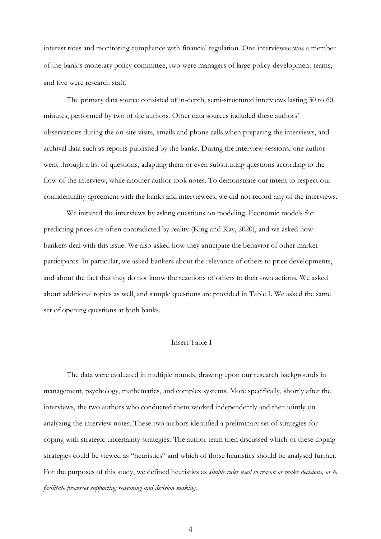interest rates and monitoring compliance with financial regulation. One interviewee was a member of the bank's monetary policy committee, two were managers of large policy-development teams, and five were research staff.

The primary data source consisted of in-depth, semi-structured interviews lasting 30 to 60 minutes, performed by two of the authors. Other data sources included these authors' observations during the on-site visits, emails and phone calls when preparing the interviews, and archival data such as reports published by the banks. During the interview sessions, one author went through a list of questions, adapting them or even substituting questions according to the flow of the interview, while another author took notes. To demonstrate our intent to respect our confidentiality agreement with the banks and interviewees, we did not record any of the interviews.

We initiated the interviews by asking questions on modeling. Economic models for predicting prices are often contradicted by reality (King and Kay, 2020), and we asked how bankers deal with this issue. We also asked how they anticipate the behavior of other market participants. In particular, we asked bankers about the relevance of others to price developments, and about the fact that they do not know the reactions of others to their own actions. We asked about additional topics as well, and sample questions are provided in Table I. We asked the same set of opening questions at both banks.

## Insert Table I

The data were evaluated in multiple rounds, drawing upon our research backgrounds in management, psychology, mathematics, and complex systems. More specifically, shortly after the interviews, the two authors who conducted them worked independently and then jointly on analyzing the interview notes. These two authors identified a preliminary set of strategies for coping with strategic uncertainty strategies. The author team then discussed which of these coping strategies could be viewed as "heuristics" and which of those heuristics should be analysed further. For the purposes of this study, we defined heuristics as *simple rules used to reason or make decisions, or to facilitate processes supporting reasoning and decision making*.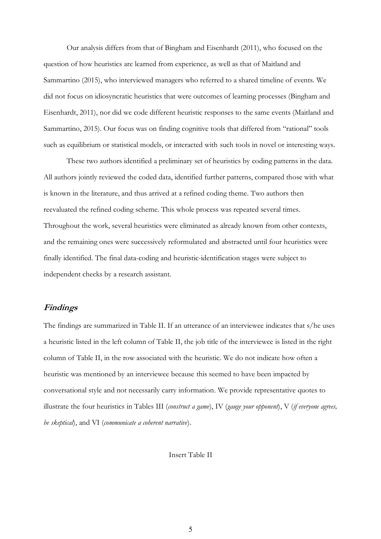Our analysis differs from that of Bingham and Eisenhardt (2011), who focused on the question of how heuristics are learned from experience, as well as that of Maitland and Sammartino (2015), who interviewed managers who referred to a shared timeline of events. We did not focus on idiosyncratic heuristics that were outcomes of learning processes (Bingham and Eisenhardt, 2011), nor did we code different heuristic responses to the same events (Maitland and Sammartino, 2015). Our focus was on finding cognitive tools that differed from "rational" tools such as equilibrium or statistical models, or interacted with such tools in novel or interesting ways.

These two authors identified a preliminary set of heuristics by coding patterns in the data. All authors jointly reviewed the coded data, identified further patterns, compared those with what is known in the literature, and thus arrived at a refined coding theme. Two authors then reevaluated the refined coding scheme. This whole process was repeated several times. Throughout the work, several heuristics were eliminated as already known from other contexts, and the remaining ones were successively reformulated and abstracted until four heuristics were finally identified. The final data-coding and heuristic-identification stages were subject to independent checks by a research assistant.

# **Findings**

The findings are summarized in Table II. If an utterance of an interviewee indicates that s/he uses a heuristic listed in the left column of Table II, the job title of the interviewee is listed in the right column of Table II, in the row associated with the heuristic. We do not indicate how often a heuristic was mentioned by an interviewee because this seemed to have been impacted by conversational style and not necessarily carry information. We provide representative quotes to illustrate the four heuristics in Tables III (*construct a game*), IV (*gauge your opponent*), V (*if everyone agrees, be skeptical*), and VI (*communicate a coherent narrative*).

Insert Table II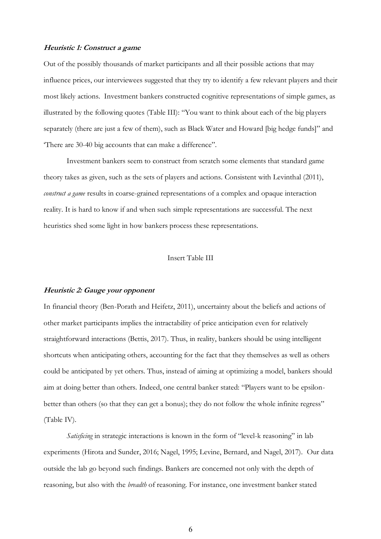## **Heuristic 1: Construct a game**

Out of the possibly thousands of market participants and all their possible actions that may influence prices, our interviewees suggested that they try to identify a few relevant players and their most likely actions. Investment bankers constructed cognitive representations of simple games, as illustrated by the following quotes (Table III): "You want to think about each of the big players separately (there are just a few of them), such as Black Water and Howard [big hedge funds]" and 'There are 30-40 big accounts that can make a difference".

Investment bankers seem to construct from scratch some elements that standard game theory takes as given, such as the sets of players and actions. Consistent with Levinthal (2011), *construct a game* results in coarse-grained representations of a complex and opaque interaction reality. It is hard to know if and when such simple representations are successful. The next heuristics shed some light in how bankers process these representations.

#### Insert Table III

## **Heuristic 2: Gauge your opponent**

In financial theory (Ben-Porath and Heifetz, 2011), uncertainty about the beliefs and actions of other market participants implies the intractability of price anticipation even for relatively straightforward interactions (Bettis, 2017). Thus, in reality, bankers should be using intelligent shortcuts when anticipating others, accounting for the fact that they themselves as well as others could be anticipated by yet others. Thus, instead of aiming at optimizing a model, bankers should aim at doing better than others. Indeed, one central banker stated: "Players want to be epsilonbetter than others (so that they can get a bonus); they do not follow the whole infinite regress" (Table IV).

*Satisficing* in strategic interactions is known in the form of "level-k reasoning" in lab experiments (Hirota and Sunder, 2016; Nagel, 1995; Levine, Bernard, and Nagel, 2017). Our data outside the lab go beyond such findings. Bankers are concerned not only with the depth of reasoning, but also with the *breadth* of reasoning. For instance, one investment banker stated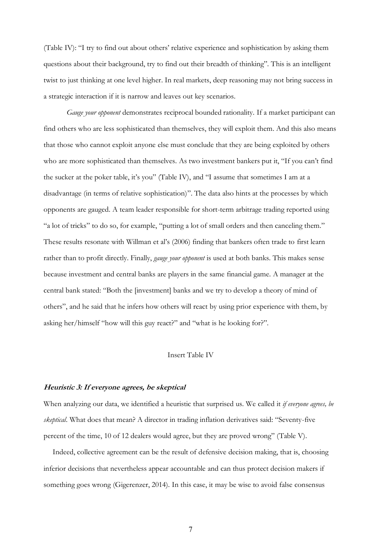(Table IV): "I try to find out about others' relative experience and sophistication by asking them questions about their background, try to find out their breadth of thinking". This is an intelligent twist to just thinking at one level higher. In real markets, deep reasoning may not bring success in a strategic interaction if it is narrow and leaves out key scenarios.

*Gauge your opponent* demonstrates reciprocal bounded rationality. If a market participant can find others who are less sophisticated than themselves, they will exploit them. And this also means that those who cannot exploit anyone else must conclude that they are being exploited by others who are more sophisticated than themselves. As two investment bankers put it, "If you can't find the sucker at the poker table, it's you" (Table IV), and "I assume that sometimes I am at a disadvantage (in terms of relative sophistication)". The data also hints at the processes by which opponents are gauged. A team leader responsible for short-term arbitrage trading reported using "a lot of tricks" to do so, for example, "putting a lot of small orders and then canceling them." These results resonate with Willman et al's (2006) finding that bankers often trade to first learn rather than to profit directly. Finally, *gauge your opponent* is used at both banks. This makes sense because investment and central banks are players in the same financial game. A manager at the central bank stated: "Both the [investment] banks and we try to develop a theory of mind of others", and he said that he infers how others will react by using prior experience with them, by asking her/himself "how will this guy react?" and "what is he looking for?".

### Insert Table IV

#### **Heuristic 3: If everyone agrees, be skeptical**

When analyzing our data, we identified a heuristic that surprised us. We called it *if everyone agrees, be skeptical*. What does that mean? A director in trading inflation derivatives said: "Seventy-five percent of the time, 10 of 12 dealers would agree, but they are proved wrong" (Table V).

Indeed, collective agreement can be the result of defensive decision making, that is, choosing inferior decisions that nevertheless appear accountable and can thus protect decision makers if something goes wrong (Gigerenzer, 2014). In this case, it may be wise to avoid false consensus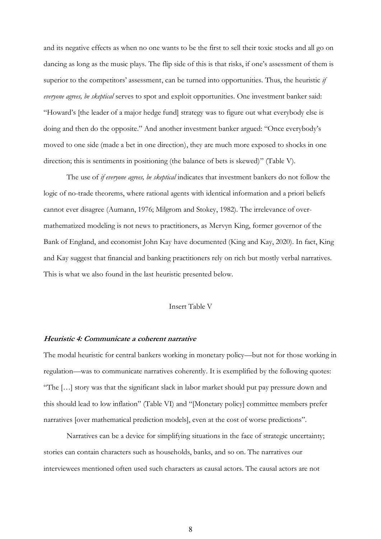and its negative effects as when no one wants to be the first to sell their toxic stocks and all go on dancing as long as the music plays. The flip side of this is that risks, if one's assessment of them is superior to the competitors' assessment, can be turned into opportunities. Thus, the heuristic *if everyone agrees, be skeptical* serves to spot and exploit opportunities. One investment banker said: "Howard's [the leader of a major hedge fund] strategy was to figure out what everybody else is doing and then do the opposite." And another investment banker argued: "Once everybody's moved to one side (made a bet in one direction), they are much more exposed to shocks in one direction; this is sentiments in positioning (the balance of bets is skewed)" (Table V).

The use of *if everyone agrees, be skeptical* indicates that investment bankers do not follow the logic of no-trade theorems, where rational agents with identical information and a priori beliefs cannot ever disagree (Aumann, 1976; Milgrom and Stokey, 1982). The irrelevance of overmathematized modeling is not news to practitioners, as Mervyn King, former governor of the Bank of England, and economist John Kay have documented (King and Kay, 2020). In fact, King and Kay suggest that financial and banking practitioners rely on rich but mostly verbal narratives. This is what we also found in the last heuristic presented below.

## Insert Table V

#### **Heuristic 4: Communicate a coherent narrative**

The modal heuristic for central bankers working in monetary policy—but not for those working in regulation—was to communicate narratives coherently. It is exemplified by the following quotes: "The […] story was that the significant slack in labor market should put pay pressure down and this should lead to low inflation" (Table VI) and "[Monetary policy] committee members prefer narratives [over mathematical prediction models], even at the cost of worse predictions".

Narratives can be a device for simplifying situations in the face of strategic uncertainty; stories can contain characters such as households, banks, and so on. The narratives our interviewees mentioned often used such characters as causal actors. The causal actors are not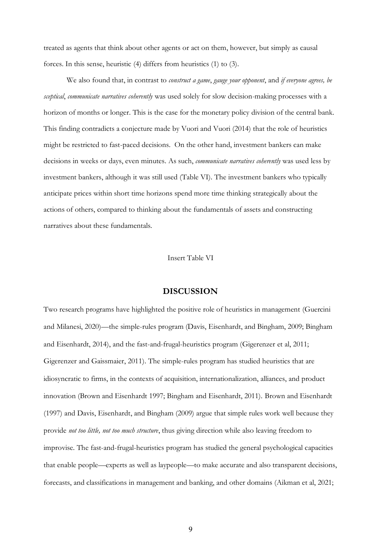treated as agents that think about other agents or act on them, however, but simply as causal forces. In this sense, heuristic (4) differs from heuristics (1) to (3).

We also found that, in contrast to *construct a game*, *gauge your opponent*, and *if everyone agrees, be sceptical*, *communicate narratives coherently* was used solely for slow decision-making processes with a horizon of months or longer. This is the case for the monetary policy division of the central bank. This finding contradicts a conjecture made by Vuori and Vuori (2014) that the role of heuristics might be restricted to fast-paced decisions. On the other hand, investment bankers can make decisions in weeks or days, even minutes. As such, *communicate narratives coherently* was used less by investment bankers, although it was still used (Table VI). The investment bankers who typically anticipate prices within short time horizons spend more time thinking strategically about the actions of others, compared to thinking about the fundamentals of assets and constructing narratives about these fundamentals.

Insert Table VI

## **DISCUSSION**

Two research programs have highlighted the positive role of heuristics in management (Guercini and Milanesi, 2020)—the simple-rules program (Davis, Eisenhardt, and Bingham, 2009; Bingham and Eisenhardt, 2014), and the fast-and-frugal-heuristics program (Gigerenzer et al, 2011; Gigerenzer and Gaissmaier, 2011). The simple-rules program has studied heuristics that are idiosyncratic to firms, in the contexts of acquisition, internationalization, alliances, and product innovation (Brown and Eisenhardt 1997; Bingham and Eisenhardt, 2011). Brown and Eisenhardt (1997) and Davis, Eisenhardt, and Bingham (2009) argue that simple rules work well because they provide *not too little, not too much structure*, thus giving direction while also leaving freedom to improvise. The fast-and-frugal-heuristics program has studied the general psychological capacities that enable people—experts as well as laypeople—to make accurate and also transparent decisions, forecasts, and classifications in management and banking, and other domains (Aikman et al, 2021;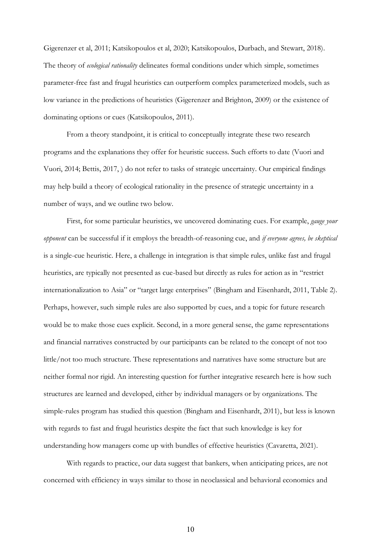Gigerenzer et al, 2011; Katsikopoulos et al, 2020; Katsikopoulos, Durbach, and Stewart, 2018). The theory of *ecological rationality* delineates formal conditions under which simple, sometimes parameter-free fast and frugal heuristics can outperform complex parameterized models, such as low variance in the predictions of heuristics (Gigerenzer and Brighton, 2009) or the existence of dominating options or cues (Katsikopoulos, 2011).

From a theory standpoint, it is critical to conceptually integrate these two research programs and the explanations they offer for heuristic success. Such efforts to date (Vuori and Vuori, 2014; Bettis, 2017, ) do not refer to tasks of strategic uncertainty. Our empirical findings may help build a theory of ecological rationality in the presence of strategic uncertainty in a number of ways, and we outline two below.

First, for some particular heuristics, we uncovered dominating cues. For example, *gauge your opponent* can be successful if it employs the breadth-of-reasoning cue, and *if everyone agrees, be skeptical*  is a single-cue heuristic. Here, a challenge in integration is that simple rules, unlike fast and frugal heuristics, are typically not presented as cue-based but directly as rules for action as in "restrict internationalization to Asia" or "target large enterprises" (Bingham and Eisenhardt, 2011, Table 2). Perhaps, however, such simple rules are also supported by cues, and a topic for future research would be to make those cues explicit. Second, in a more general sense, the game representations and financial narratives constructed by our participants can be related to the concept of not too little/not too much structure. These representations and narratives have some structure but are neither formal nor rigid. An interesting question for further integrative research here is how such structures are learned and developed, either by individual managers or by organizations. The simple-rules program has studied this question (Bingham and Eisenhardt, 2011), but less is known with regards to fast and frugal heuristics despite the fact that such knowledge is key for understanding how managers come up with bundles of effective heuristics (Cavaretta, 2021).

With regards to practice, our data suggest that bankers, when anticipating prices, are not concerned with efficiency in ways similar to those in neoclassical and behavioral economics and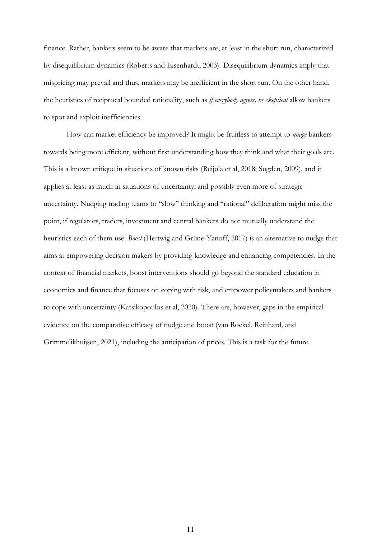finance. Rather, bankers seem to be aware that markets are, at least in the short run, characterized by disequilibrium dynamics (Roberts and Eisenhardt, 2003). Disequilibrium dynamics imply that mispricing may prevail and thus, markets may be inefficient in the short run. On the other hand, the heuristics of reciprocal bounded rationality, such as *if everybody agrees, be skeptical* allow bankers to spot and exploit inefficiencies.

How can market efficiency be improved? It might be fruitless to attempt to *nudge* bankers towards being more efficient, without first understanding how they think and what their goals are. This is a known critique in situations of known risks (Reijula et al, 2018; Sugden, 2009), and it applies at least as much in situations of uncertainty, and possibly even more of strategic uncertainty. Nudging trading teams to "slow" thinking and "rational" deliberation might miss the point, if regulators, traders, investment and central bankers do not mutually understand the heuristics each of them use. *Boost* (Hertwig and Grüne-Yanoff, 2017) is an alternative to nudge that aims at empowering decision makers by providing knowledge and enhancing competencies. In the context of financial markets, boost interventions should go beyond the standard education in economics and finance that focuses on coping with risk, and empower policymakers and bankers to cope with uncertainty (Katsikopoulos et al, 2020). There are, however, gaps in the empirical evidence on the comparative efficacy of nudge and boost (van Roekel, Reinhard, and Grimmelikhuijsen, 2021), including the anticipation of prices. This is a task for the future.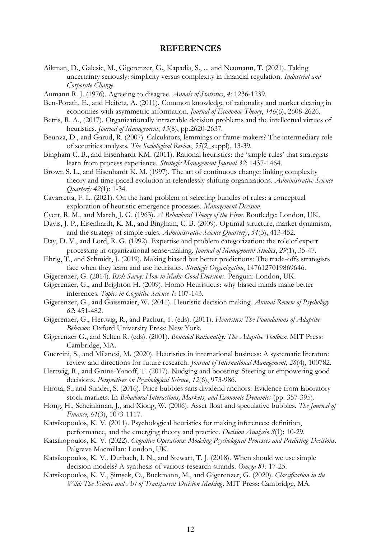## **REFERENCES**

- Aikman, D., Galesic, M., Gigerenzer, G., Kapadia, S., ... and Neumann, T. (2021). Taking uncertainty seriously: simplicity versus complexity in financial regulation. *Industrial and Corporate Change*.
- Aumann R. J. (1976). Agreeing to disagree. *Annals of Statistics*, *4*: 1236-1239.
- Ben-Porath, E., and Heifetz, A. (2011). Common knowledge of rationality and market clearing in economies with asymmetric information. *Journal of Economic Theory*, *146*(6), 2608-2626.
- Bettis, R. A., (2017). Organizationally intractable decision problems and the intellectual virtues of heuristics. *Journal of Management*, *43*(8), pp.2620-2637.
- Beunza, D., and Garud, R. (2007). Calculators, lemmings or frame-makers? The intermediary role of securities analysts. *The Sociological Review*, *55*(2\_suppl), 13-39.
- Bingham C. B., and Eisenhardt KM. (2011). Rational heuristics: the 'simple rules' that strategists learn from process experience. *Strategic Management Journal 32*: 1437-1464.
- Brown S. L., and Eisenhardt K. M. (1997). The art of continuous change: linking complexity theory and time-paced evolution in relentlessly shifting organizations. *Administrative Science Quarterly 42*(1): 1-34.
- Cavarretta, F. L. (2021). On the hard problem of selecting bundles of rules: a conceptual exploration of heuristic emergence processes. *Management Decision*.
- Cyert, R. M., and March, J. G. (1963). *A Behavioral Theory of the Firm*. Routledge: London, UK.
- Davis, J. P., Eisenhardt, K. M., and Bingham, C. B. (2009). Optimal structure, market dynamism, and the strategy of simple rules. *Administrative Science Quarterly*, *54*(3), 413-452.
- Day, D. V., and Lord, R. G. (1992). Expertise and problem categorization: the role of expert processing in organizational sense‐making. *Journal of Management Studies*, *29*(1), 35-47.
- Ehrig, T., and Schmidt, J. (2019). Making biased but better predictions: The trade-offs strategists face when they learn and use heuristics. *Strategic Organization*, 1476127019869646.
- Gigerenzer, G. (2014). *Risk Savvy: How to Make Good Decisions*. Penguin: London, UK.
- Gigerenzer, G., and Brighton H. (2009). Homo Heuristicus: why biased minds make better inferences. *Topics in Cognitive Science 1*: 107-143.
- Gigerenzer, G., and Gaissmaier, W. (2011). Heuristic decision making. *Annual Review of Psychology 62*: 451-482.
- Gigerenzer, G., Hertwig, R., and Pachur, T. (eds). (2011). *Heuristics: The Foundations of Adaptive Behavior*. Oxford University Press: New York.
- Gigerenzer G., and Selten R. (eds). (2001). *Bounded Rationality: The Adaptive Toolbox*. MIT Press: Cambridge, MA.
- Guercini, S., and Milanesi, M. (2020). Heuristics in international business: A systematic literature review and directions for future research. *Journal of International Management*, *26*(4), 100782.
- Hertwig, R., and Grüne-Yanoff, T. (2017). Nudging and boosting: Steering or empowering good decisions. *Perspectives on Psychological Science*, *12*(6), 973-986.
- Hirota, S., and Sunder, S. (2016). Price bubbles sans dividend anchors: Evidence from laboratory stock markets. In *Behavioral Interactions, Markets, and Economic Dynamics* (pp. 357-395).
- Hong, H., Scheinkman, J., and Xiong, W. (2006). Asset float and speculative bubbles. *The Journal of Finance*, *61*(3), 1073-1117.
- Katsikopoulos, K. V. (2011). Psychological heuristics for making inferences: definition, performance, and the emerging theory and practice. *Decision Analysi*s *8*(1): 10-29.
- Katsikopoulos, K. V. (2022). *Cognitive Operations: Modeling Psychological Processes and Predicting Decisions*. Palgrave Macmillan: London, UK.
- Katsikopoulos, K. V., Durbach, I. N., and Stewart, T. J. (2018). When should we use simple decision models? A synthesis of various research strands. *Omega 81*: 17-25.
- Katsikopoulos, K. V., Şimşek, O., Buckmann, M., and Gigerenzer, G. (2020). *Classification in the Wild: The Science and Art of Transparent Decision Making*. MIT Press: Cambridge, MA.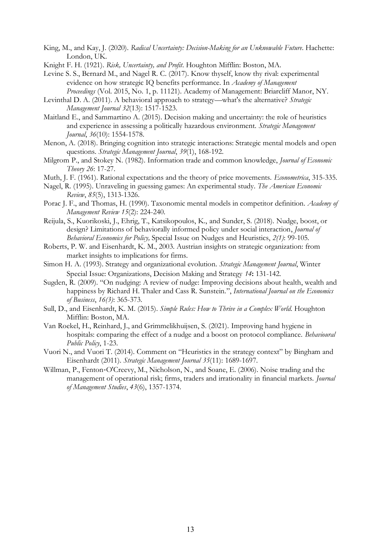- King, M., and Kay, J. (2020). *Radical Uncertainty: Decision-Making for an Unknowable Future*. Hachette: London, UK.
- Knight F. H. (1921). *Risk, Uncertainty, and Profit*. Houghton Mifflin: Boston, MA.
- Levine S. S., Bernard M., and Nagel R. C. (2017). Know thyself, know thy rival: experimental evidence on how strategic IQ benefits performance. In *Academy of Management Proceedings* (Vol. 2015, No. 1, p. 11121). Academy of Management: Briarcliff Manor, NY.
- Levinthal D. A. (2011). A behavioral approach to strategy—what's the alternative? *Strategic Management Journal 32*(13): 1517-1523.
- Maitland E., and Sammartino A. (2015). Decision making and uncertainty: the role of heuristics and experience in assessing a politically hazardous environment. *Strategic Management Journal*, *36*(10): 1554-1578.
- Menon, A. (2018). Bringing cognition into strategic interactions: Strategic mental models and open questions. *Strategic Management Journal*, *39*(1), 168-192.
- Milgrom P., and Stokey N. (1982). Information trade and common knowledge, *Journal of Economic Theory 26*: 17-27.
- Muth, J. F. (1961). Rational expectations and the theory of price movements. *Econometrica*, 315-335.
- Nagel, R. (1995). Unraveling in guessing games: An experimental study. *The American Economic Review*, *85*(5), 1313-1326.
- Porac J. F., and Thomas, H. (1990). Taxonomic mental models in competitor definition. *Academy of Management Review 15*(2): 224-240.
- Reijula, S., Kuorikoski, J., Ehrig, T., Katsikopoulos, K., and Sunder, S. (2018). Nudge, boost, or design? Limitations of behaviorally informed policy under social interaction, *Journal of Behavioral Economics for Policy,* Special Issue on Nudges and Heuristics, *2(1)*: 99-105*.*
- Roberts, P. W. and Eisenhardt, K. M., 2003. Austrian insights on strategic organization: from market insights to implications for firms.
- Simon H. A. (1993). Strategy and organizational evolution. *Strategic Management Journal*, Winter Special Issue: Organizations, Decision Making and Strategy *14***:** 131-142.
- Sugden, R. (2009). "On nudging: A review of nudge: Improving decisions about health, wealth and happiness by Richard H. Thaler and Cass R. Sunstein.", *International Journal on the Economics of Business*, *16(3)*: 365-373.
- Sull, D., and Eisenhardt, K. M. (2015). *Simple Rules: How to Thrive in a Complex World*. Houghton Mifflin: Boston, MA.
- Van Roekel, H., Reinhard, J., and Grimmelikhuijsen, S. (2021). Improving hand hygiene in hospitals: comparing the effect of a nudge and a boost on protocol compliance. *Behavioural Public Policy*, 1-23.
- Vuori N., and Vuori T. (2014). Comment on "Heuristics in the strategy context" by Bingham and Eisenhardt (2011). *Strategic Management Journal 35*(11): 1689-1697.
- Willman, P., Fenton-O'Creevy, M., Nicholson, N., and Soane, E. (2006). Noise trading and the management of operational risk; firms, traders and irrationality in financial markets. *Journal of Management Studies*, *43*(6), 1357-1374.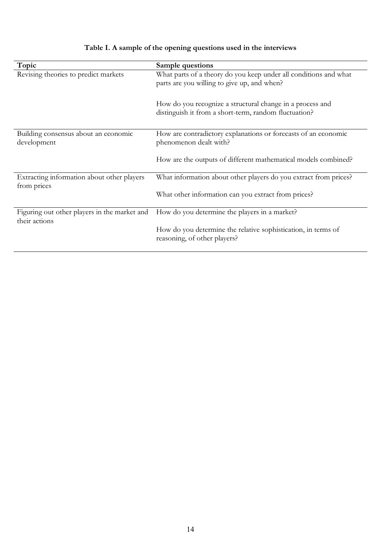| Topic                                                         | Sample questions                                                                                                   |  |
|---------------------------------------------------------------|--------------------------------------------------------------------------------------------------------------------|--|
| Revising theories to predict markets                          | What parts of a theory do you keep under all conditions and what<br>parts are you willing to give up, and when?    |  |
|                                                               | How do you recognize a structural change in a process and<br>distinguish it from a short-term, random fluctuation? |  |
| Building consensus about an economic<br>development           | How are contradictory explanations or forecasts of an economic<br>phenomenon dealt with?                           |  |
|                                                               | How are the outputs of different mathematical models combined?                                                     |  |
| Extracting information about other players<br>from prices     | What information about other players do you extract from prices?                                                   |  |
|                                                               | What other information can you extract from prices?                                                                |  |
| Figuring out other players in the market and<br>their actions | How do you determine the players in a market?                                                                      |  |
|                                                               | How do you determine the relative sophistication, in terms of<br>reasoning, of other players?                      |  |

# **Table I. A sample of the opening questions used in the interviews**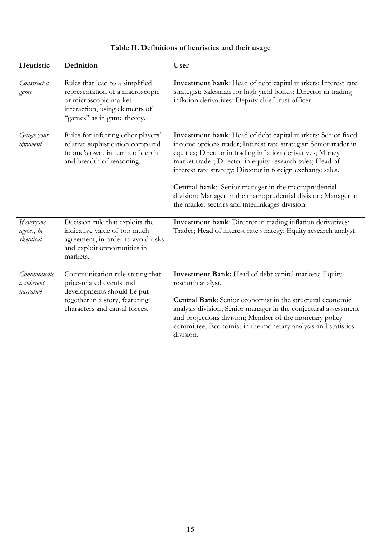| Table II. Definitions of heuristics and their usage |  |
|-----------------------------------------------------|--|
|-----------------------------------------------------|--|

| Heuristic                              | Definition                                                                                                                                                   | User                                                                                                                                                                                                                                                                                                                                                                                                                                                                                                 |
|----------------------------------------|--------------------------------------------------------------------------------------------------------------------------------------------------------------|------------------------------------------------------------------------------------------------------------------------------------------------------------------------------------------------------------------------------------------------------------------------------------------------------------------------------------------------------------------------------------------------------------------------------------------------------------------------------------------------------|
| Construct a<br>game                    | Rules that lead to a simplified<br>representation of a macroscopic<br>or microscopic market<br>interaction, using elements of<br>"games" as in game theory.  | Investment bank: Head of debt capital markets; Interest rate<br>strategist; Salesman for high yield bonds; Director in trading<br>inflation derivatives; Deputy chief trust officer.                                                                                                                                                                                                                                                                                                                 |
| Gauge your<br>opponent                 | Rules for inferring other players'<br>relative sophistication compared<br>to one's own, in terms of depth<br>and breadth of reasoning.                       | Investment bank: Head of debt capital markets; Senior fixed<br>income options trader; Interest rate strategist; Senior trader in<br>equities; Director in trading inflation derivatives; Money<br>market trader; Director in equity research sales; Head of<br>interest rate strategy; Director in foreign exchange sales.<br>Central bank: Senior manager in the macroprudential<br>division; Manager in the macroprudential division; Manager in<br>the market sectors and interlinkages division. |
| If everyone<br>agrees, be<br>skeptical | Decision rule that exploits the<br>indicative value of too much<br>agreement, in order to avoid risks<br>and exploit opportunities in<br>markets.            | Investment bank: Director in trading inflation derivatives;<br>Trader; Head of interest rate strategy; Equity research analyst.                                                                                                                                                                                                                                                                                                                                                                      |
| Communicate<br>a coherent<br>narrative | Communication rule stating that<br>price-related events and<br>developments should be put<br>together in a story, featuring<br>characters and causal forces. | Investment Bank: Head of debt capital markets; Equity<br>research analyst.<br><b>Central Bank:</b> Senior economist in the structural economic<br>analysis division; Senior manager in the conjectural assessment<br>and projections division; Member of the monetary policy<br>committee; Economist in the monetary analysis and statistics<br>division.                                                                                                                                            |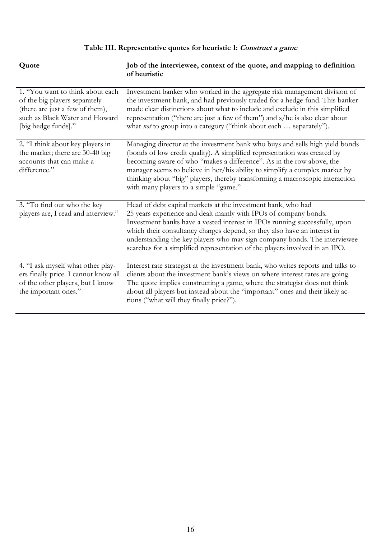# **Table III. Representative quotes for heuristic 1: Construct a game**

| Quote                                                                                                                                                         | Job of the interviewee, context of the quote, and mapping to definition<br>of heuristic                                                                                                                                                                                                                                                                                                                                                                |  |
|---------------------------------------------------------------------------------------------------------------------------------------------------------------|--------------------------------------------------------------------------------------------------------------------------------------------------------------------------------------------------------------------------------------------------------------------------------------------------------------------------------------------------------------------------------------------------------------------------------------------------------|--|
|                                                                                                                                                               |                                                                                                                                                                                                                                                                                                                                                                                                                                                        |  |
| 1. "You want to think about each<br>of the big players separately<br>(there are just a few of them),<br>such as Black Water and Howard<br>[big hedge funds]." | Investment banker who worked in the aggregate risk management division of<br>the investment bank, and had previously traded for a hedge fund. This banker<br>made clear distinctions about what to include and exclude in this simplified<br>representation ("there are just a few of them") and s/he is also clear about<br>what <i>not</i> to group into a category ("think about each  separately").                                                |  |
| 2. "I think about key players in<br>the market; there are 30-40 big<br>accounts that can make a<br>difference."                                               | Managing director at the investment bank who buys and sells high yield bonds<br>(bonds of low credit quality). A simplified representation was created by<br>becoming aware of who "makes a difference". As in the row above, the<br>manager seems to believe in her/his ability to simplify a complex market by<br>thinking about "big" players, thereby transforming a macroscopic interaction<br>with many players to a simple "game."              |  |
| 3. "To find out who the key<br>players are, I read and interview."                                                                                            | Head of debt capital markets at the investment bank, who had<br>25 years experience and dealt mainly with IPOs of company bonds.<br>Investment banks have a vested interest in IPOs running successfully, upon<br>which their consultancy charges depend, so they also have an interest in<br>understanding the key players who may sign company bonds. The interviewee<br>searches for a simplified representation of the players involved in an IPO. |  |
| 4. "I ask myself what other play-<br>ers finally price. I cannot know all<br>of the other players, but I know<br>the important ones."                         | Interest rate strategist at the investment bank, who writes reports and talks to<br>clients about the investment bank's views on where interest rates are going.<br>The quote implies constructing a game, where the strategist does not think<br>about all players but instead about the "important" ones and their likely ac-<br>tions ("what will they finally price?").                                                                            |  |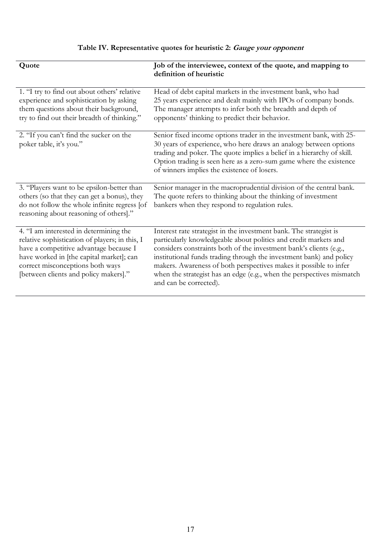# **Table IV. Representative quotes for heuristic 2: Gauge your opponent**

| Quote                                                                                                                                                                                                                                                       | Job of the interviewee, context of the quote, and mapping to<br>definition of heuristic                                                                                                                                                                                                                                                                                                                                                                     |
|-------------------------------------------------------------------------------------------------------------------------------------------------------------------------------------------------------------------------------------------------------------|-------------------------------------------------------------------------------------------------------------------------------------------------------------------------------------------------------------------------------------------------------------------------------------------------------------------------------------------------------------------------------------------------------------------------------------------------------------|
| 1. "I try to find out about others' relative<br>experience and sophistication by asking<br>them questions about their background,<br>try to find out their breadth of thinking."                                                                            | Head of debt capital markets in the investment bank, who had<br>25 years experience and dealt mainly with IPOs of company bonds.<br>The manager attempts to infer both the breadth and depth of<br>opponents' thinking to predict their behavior.                                                                                                                                                                                                           |
| 2. "If you can't find the sucker on the<br>poker table, it's you."                                                                                                                                                                                          | Senior fixed income options trader in the investment bank, with 25-<br>30 years of experience, who here draws an analogy between options<br>trading and poker. The quote implies a belief in a hierarchy of skill.<br>Option trading is seen here as a zero-sum game where the existence<br>of winners implies the existence of losers.                                                                                                                     |
| 3. "Players want to be epsilon-better than<br>others (so that they can get a bonus), they<br>do not follow the whole infinite regress [of<br>reasoning about reasoning of others]."                                                                         | Senior manager in the macroprudential division of the central bank.<br>The quote refers to thinking about the thinking of investment<br>bankers when they respond to regulation rules.                                                                                                                                                                                                                                                                      |
| 4. "I am interested in determining the<br>relative sophistication of players; in this, I<br>have a competitive advantage because I<br>have worked in [the capital market]; can<br>correct misconceptions both ways<br>[between clients and policy makers]." | Interest rate strategist in the investment bank. The strategist is<br>particularly knowledgeable about politics and credit markets and<br>considers constraints both of the investment bank's clients (e.g.,<br>institutional funds trading through the investment bank) and policy<br>makers. Awareness of both perspectives makes it possible to infer<br>when the strategist has an edge (e.g., when the perspectives mismatch<br>and can be corrected). |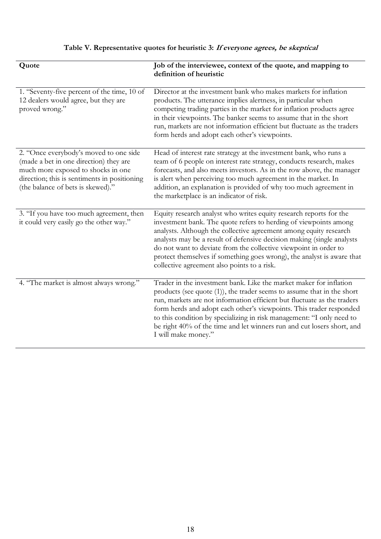# **Table V. Representative quotes for heuristic 3: If everyone agrees, be skeptical**

| Quote                                                                                                                                                                                                       | Job of the interviewee, context of the quote, and mapping to<br>definition of heuristic                                                                                                                                                                                                                                                                                                                                                                                            |
|-------------------------------------------------------------------------------------------------------------------------------------------------------------------------------------------------------------|------------------------------------------------------------------------------------------------------------------------------------------------------------------------------------------------------------------------------------------------------------------------------------------------------------------------------------------------------------------------------------------------------------------------------------------------------------------------------------|
| 1. "Seventy-five percent of the time, 10 of<br>12 dealers would agree, but they are<br>proved wrong."                                                                                                       | Director at the investment bank who makes markets for inflation<br>products. The utterance implies alertness, in particular when<br>competing trading parties in the market for inflation products agree<br>in their viewpoints. The banker seems to assume that in the short<br>run, markets are not information efficient but fluctuate as the traders<br>form herds and adopt each other's viewpoints.                                                                          |
| 2. "Once everybody's moved to one side<br>(made a bet in one direction) they are<br>much more exposed to shocks in one<br>direction; this is sentiments in positioning<br>(the balance of bets is skewed)." | Head of interest rate strategy at the investment bank, who runs a<br>team of 6 people on interest rate strategy, conducts research, makes<br>forecasts, and also meets investors. As in the row above, the manager<br>is alert when perceiving too much agreement in the market. In<br>addition, an explanation is provided of why too much agreement in<br>the marketplace is an indicator of risk.                                                                               |
| 3. "If you have too much agreement, then<br>it could very easily go the other way."                                                                                                                         | Equity research analyst who writes equity research reports for the<br>investment bank. The quote refers to herding of viewpoints among<br>analysts. Although the collective agreement among equity research<br>analysts may be a result of defensive decision making (single analysts<br>do not want to deviate from the collective viewpoint in order to<br>protect themselves if something goes wrong), the analyst is aware that<br>collective agreement also points to a risk. |
| 4. "The market is almost always wrong."                                                                                                                                                                     | Trader in the investment bank. Like the market maker for inflation<br>products (see quote $(1)$ ), the trader seems to assume that in the short<br>run, markets are not information efficient but fluctuate as the traders<br>form herds and adopt each other's viewpoints. This trader responded<br>to this condition by specializing in risk management: "I only need to<br>be right 40% of the time and let winners run and cut losers short, and<br>I will make money."        |